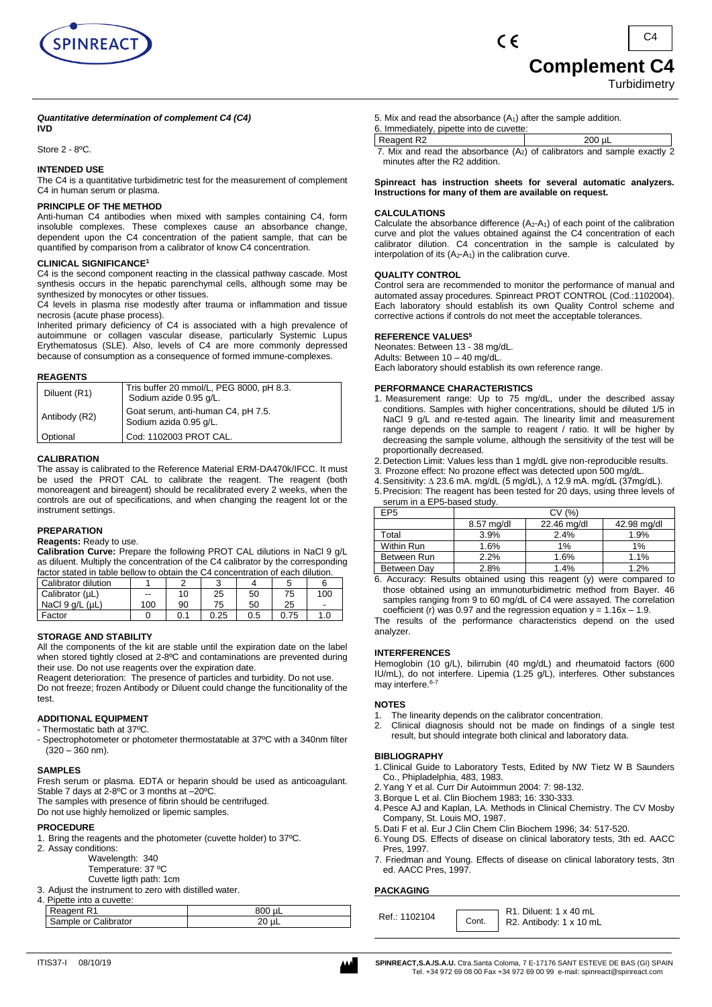

#### *Quantitative determination of complement C4 (C4)* **IVD**

Store 2 - 8ºC.

# **INTENDED USE**

The C4 is a quantitative turbidimetric test for the measurement of complement C4 in human serum or plasma.

# **PRINCIPLE OF THE METHOD**

Anti-human C4 antibodies when mixed with samples containing C4, form insoluble complexes. These complexes cause an absorbance change, dependent upon the C4 concentration of the patient sample, that can be quantified by comparison from a calibrator of know C4 concentration.

# **CLINICAL SIGNIFICANCE<sup>1</sup>**

C4 is the second component reacting in the classical pathway cascade. Most synthesis occurs in the hepatic parenchymal cells, although some may be synthesized by monocytes or other tissues.

C4 levels in plasma rise modestly after trauma or inflammation and tissue necrosis (acute phase process).

Inherited primary deficiency of C4 is associated with a high prevalence of autoimmune or collagen vascular disease, particularly Systemic Lupus Erythematosus (SLE). Also, levels of C4 are more commonly depressed because of consumption as a consequence of formed immune-complexes.

## **REAGENTS**

| Diluent (R1)  | Tris buffer 20 mmol/L, PEG 8000, pH 8.3.<br>Sodium azide 0.95 g/L. |
|---------------|--------------------------------------------------------------------|
| Antibody (R2) | Goat serum, anti-human C4, pH 7.5.<br>Sodium azida 0.95 g/L.       |
| Optional      | Cod: 1102003 PROT CAL.                                             |

## **CALIBRATION**

The assay is calibrated to the Reference Material ERM-DA470k/IFCC. It must be used the PROT CAL to calibrate the reagent. The reagent (both monoreagent and bireagent) should be recalibrated every 2 weeks, when the controls are out of specifications, and when changing the reagent lot or the instrument settings.

#### **PREPARATION**

#### **Reagents:** Ready to use.

**Calibration Curve:** Prepare the following PROT CAL dilutions in NaCl 9 g/L as diluent. Multiply the concentration of the C4 calibrator by the corresponding factor stated in table bellow to obtain the C4 concentration of each dilution

|                     | הושטושו טעטער ווישטוש איז וישטרער טוויט און ווישטוש איז זיי דער ווישטוש ווישטוש ווי |    |      |     |      |     |
|---------------------|-------------------------------------------------------------------------------------|----|------|-----|------|-----|
| Calibrator dilution |                                                                                     |    |      |     |      |     |
| Calibrator (µL)     | $-$                                                                                 | 10 | 25   | 50  | 75   | 100 |
| NaCl 9 g/L (uL)     | 100                                                                                 | 90 | 75   | 50  | 25   |     |
| Factor              |                                                                                     |    | 0.25 | 0.5 | 0.75 | 1.0 |

# **STORAGE AND STABILITY**

All the components of the kit are stable until the expiration date on the label when stored tightly closed at 2-8ºC and contaminations are prevented during their use. Do not use reagents over the expiration date.

Reagent deterioration: The presence of particles and turbidity. Do not use. Do not freeze; frozen Antibody or Diluent could change the funcitionality of the test.

# **ADDITIONAL EQUIPMENT**

- Thermostatic bath at 37ºC.
- Spectrophotometer or photometer thermostatable at 37ºC with a 340nm filter (320 – 360 nm).

#### **SAMPLES**

Fresh serum or plasma. EDTA or heparin should be used as anticoagulant. Stable 7 days at 2-8ºC or 3 months at –20ºC.

The samples with presence of fibrin should be centrifuged.

Do not use highly hemolized or lipemic samples.

# **PROCEDURE**

- 1. Bring the reagents and the photometer (cuvette holder) to 37ºC.
- 2. Assay conditions:
	- Wavelength: 340
	- Temperature: 37 ºC
	- Cuvette ligth path: 1cm
- 3. Adjust the instrument to zero with distilled water.

# 4. Pipette into a cuvette:

| $\tilde{}$                 |  |
|----------------------------|--|
| .alibrator<br>ΩT<br>، بے ر |  |
|                            |  |

5. Mix and read the absorbance (A1) after the sample addition.

 $\epsilon$ 

- 6. Immediately, pipette into de cuvette:
- Reagent R2 200 µL
	- 7. Mix and read the absorbance  $(A_2)$  of calibrators and sample exactly 2 minutes after the R2 addition.

**Spinreact has instruction sheets for several automatic analyzers. Instructions for many of them are available on request.**

## **CALCULATIONS**

Calculate the absorbance difference  $(A_2-A_1)$  of each point of the calibration curve and plot the values obtained against the C4 concentration of each calibrator dilution. C4 concentration in the sample is calculated by interpolation of its  $(A_2-A_1)$  in the calibration curve.

# **QUALITY CONTROL**

Control sera are recommended to monitor the performance of manual and automated assay procedures. Spinreact PROT CONTROL (Cod.:1102004). Each laboratory should establish its own Quality Control scheme and corrective actions if controls do not meet the acceptable tolerances.

## **REFERENCE VALUES<sup>5</sup>**

Neonates: Between 13 - 38 mg/dL. Adults: Between 10 – 40 mg/dL. Each laboratory should establish its own reference range.

## **PERFORMANCE CHARACTERISTICS**

- 1. Measurement range: Up to 75 mg/dL, under the described assay conditions. Samples with higher concentrations, should be diluted 1/5 in NaCl 9 g/L and re-tested again. The linearity limit and measurement range depends on the sample to reagent / ratio. It will be higher by decreasing the sample volume, although the sensitivity of the test will be proportionally decreased.
- 2.Detection Limit: Values less than 1 mg/dL give non-reproducible results.
- 3. Prozone effect: No prozone effect was detected upon 500 mg/dL.
- 4.Sensitivity: ∆ 23.6 mA. mg/dL (5 mg/dL), ∆ 12.9 mA. mg/dL (37mg/dL).
- 5.Precision: The reagent has been tested for 20 days, using three levels of serum in a EP5-based study.

| EP <sub>5</sub> | CV (%)     |             |             |  |  |
|-----------------|------------|-------------|-------------|--|--|
|                 | 8.57 mg/dl | 22.46 mg/dl | 42.98 mg/dl |  |  |
| Total           | 3.9%       | 2.4%        | 1.9%        |  |  |
| Within Run      | 1.6%       | 1%          | 1%          |  |  |
| Between Run     | 2.2%       | 1.6%        | 1.1%        |  |  |
| Between Dav     | 2.8%       | 1.4%        | 1.2%        |  |  |

6. Accuracy: Results obtained using this reagent (y) were compared to those obtained using an immunoturbidimetric method from Bayer. 46 samples ranging from 9 to 60 mg/dL of C4 were assayed. The correlation coefficient (r) was 0.97 and the regression equation  $y = 1.16x - 1.9$ .

The results of the performance characteristics depend on the used analyzer.

# **INTERFERENCES**

Hemoglobin (10 g/L), bilirrubin (40 mg/dL) and rheumatoid factors (600 IU/mL), do not interfere. Lipemia (1.25 g/L), interferes. Other substances may interfere.<sup>6-7</sup>

# **NOTES**

- 1. The linearity depends on the calibrator concentration.
- 2. Clinical diagnosis should not be made on findings of a single test result, but should integrate both clinical and laboratory data.

#### **BIBLIOGRAPHY**

- 1.Clinical Guide to Laboratory Tests, Edited by NW Tietz W B Saunders Co., Phipladelphia, 483, 1983.
- 2.Yang Y et al. Curr Dir Autoimmun 2004: 7: 98-132.
- 3.Borque L et al. Clin Biochem 1983; 16: 330-333.
- 4.Pesce AJ and Kaplan, LA. Methods in Clinical Chemistry. The CV Mosby Company, St. Louis MO, 1987.
- 5.Dati F et al. Eur J Clin Chem Clin Biochem 1996; 34: 517-520.
- 6.Young DS. Effects of disease on clinical laboratory tests, 3th ed. AACC Pres, 1997.
- 7. Friedman and Young. Effects of disease on clinical laboratory tests, 3tn ed. AACC Pres, 1997.

#### **PACKAGING**

Ref.: 1102104  $\begin{array}{|c|c|c|c|c|}\n\hline\n\text{Cont.} & \text{R1. Diluent: } 1 \times 40 \text{ mL} \\
\hline\n\text{Cont.} & \text{R2. Antihodv: } 1 \times 10 \text{ m} \\
\hline\n\end{array}$ R2. Antibody: 1 x 10 mL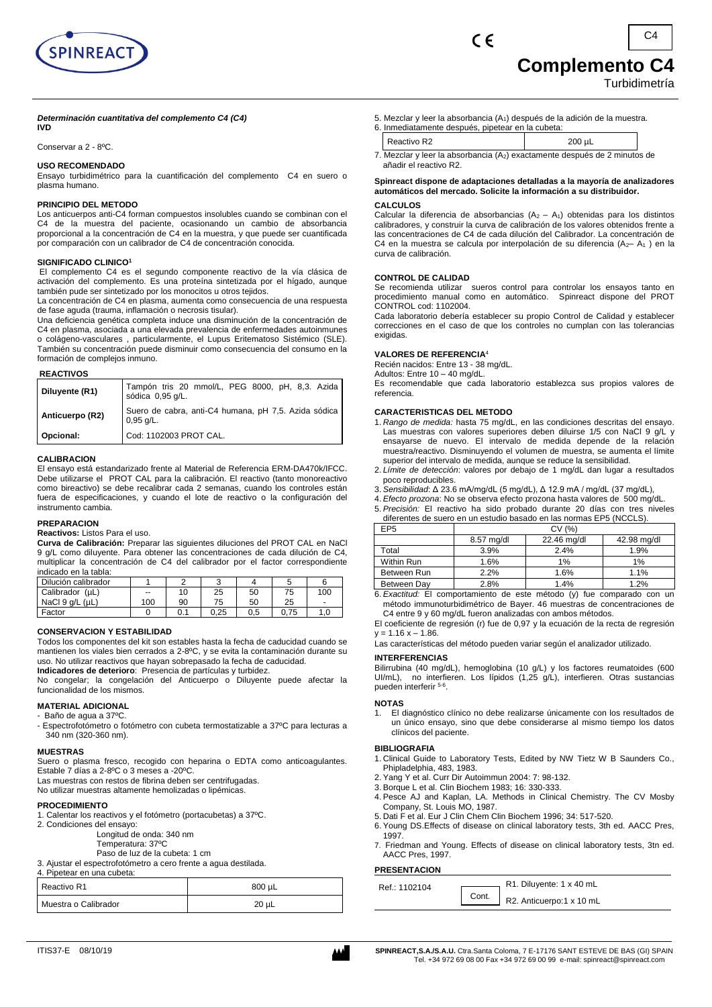

# **Complemento C4**

Turbidimetría

# *Determinación cuantitativa del complemento C4 (C4)*

**IVD**

Conservar a 2 - 8ºC.

#### **USO RECOMENDADO**

Ensayo turbidimétrico para la cuantificación del complemento C4 en suero o plasma humano.

## **PRINCIPIO DEL METODO**

Los anticuerpos anti-C4 forman compuestos insolubles cuando se combinan con el C4 de la muestra del paciente, ocasionando un cambio de absorbancia proporcional a la concentración de C4 en la muestra, y que puede ser cuantificada por comparación con un calibrador de C4 de concentración conocida.

#### **SIGNIFICADO CLINICO<sup>1</sup>**

El complemento C4 es el segundo componente reactivo de la vía clásica de activación del complemento. Es una proteína sintetizada por el hígado, aunque también pude ser sintetizado por los monocitos u otros tejidos.

La concentración de C4 en plasma, aumenta como consecuencia de una respuesta de fase aguda (trauma, inflamación o necrosis tisular).

Una deficiencia genética completa induce una disminución de la concentración de C4 en plasma, asociada a una elevada prevalencia de enfermedades autoinmunes o colágeno-vasculares , particularmente, el Lupus Eritematoso Sistémico (SLE). También su concentración puede disminuir como consecuencia del consumo en la formación de complejos inmuno.

#### **REACTIVOS**

| Diluyente (R1)  | Tampón tris 20 mmol/L, PEG 8000, pH, 8,3. Azida<br>sódica 0,95 g/L. |
|-----------------|---------------------------------------------------------------------|
| Anticuerpo (R2) | Suero de cabra, anti-C4 humana, pH 7,5. Azida sódica<br>$0.95$ g/L. |
| Opcional:       | Cod: 1102003 PROT CAL.                                              |

#### **CALIBRACION**

El ensayo está estandarizado frente al Material de Referencia ERM-DA470k/IFCC. Debe utilizarse el PROT CAL para la calibración. El reactivo (tanto monoreactivo como bireactivo) se debe recalibrar cada 2 semanas, cuando los controles están fuera de especificaciones, y cuando el lote de reactivo o la configuración del instrumento cambia.

#### **PREPARACION**

**Reactivos:** Listos Para el uso.

**Curva de Calibración:** Preparar las siguientes diluciones del PROT CAL en NaCl 9 g/L como diluyente. Para obtener las concentraciones de cada dilución de C4, multiplicar la concentración de C4 del calibrador por el factor correspondiente indicado en la tabla:

| Dilución calibrador |       |    |      |     |      |                |
|---------------------|-------|----|------|-----|------|----------------|
| Calibrador (µL)     | $- -$ | 10 | 25   | 50  | 75   | 100            |
| NaCl 9 g/L (µL)     | 100   | 90 | 75   | 50  | 25   | $\blacksquare$ |
| Factor              |       |    | 0.25 | 0.5 | 0.75 | .U             |

#### **CONSERVACION Y ESTABILIDAD**

Todos los componentes del kit son estables hasta la fecha de caducidad cuando se mantienen los viales bien cerrados a 2-8ºC, y se evita la contaminación durante su uso. No utilizar reactivos que hayan sobrepasado la fecha de caducidad.

**Indicadores de deterioro**: Presencia de partículas y turbidez. No congelar; la congelación del Anticuerpo o Diluyente puede afectar la funcionalidad de los mismos.

#### **MATERIAL ADICIONAL**

- Baño de agua a 37ºC.

- Espectrofotómetro o fotómetro con cubeta termostatizable a 37ºC para lecturas a 340 nm (320-360 nm).

#### **MUESTRAS**

Suero o plasma fresco, recogido con heparina o EDTA como anticoagulantes. Estable 7 días a 2-8ºC o 3 meses a -20ºC.

Las muestras con restos de fibrina deben ser centrifugadas.

No utilizar muestras altamente hemolizadas o lipémicas.

#### **PROCEDIMIENTO**

- 1. Calentar los reactivos y el fotómetro (portacubetas) a 37ºC.
- 2. Condiciones del ensayo:
	- Longitud de onda: 340 nm
		- Temperatura: 37ºC Paso de luz de la cubeta: 1 cm

3. Ajustar el espectrofotómetro a cero frente a agua destilada.

4. Pipetear en una cubeta:

| Reactivo R1          | 800 uL |  |
|----------------------|--------|--|
| Muestra o Calibrador | 20 uL  |  |

- 5. Mezclar y leer la absorbancia (A<sub>1</sub>) después de la adición de la muestra.<br>6. Inmediatamente después, pipetear en la cubeta:
- Inmediatamente después, pipetear en la cubeta: Reactivo R2 200 µL 200 µL
- 7. Mezclar y leer la absorbancia (A2) exactamente después de 2 minutos de añadir el reactivo R2.

# **Spinreact dispone de adaptaciones detalladas a la mayoría de analizadores automáticos del mercado. Solicite la información a su distribuidor.**

#### **CALCULOS**

Calcular la diferencia de absorbancias  $(A<sub>2</sub> - A<sub>1</sub>)$  obtenidas para los distintos calibradores, y construir la curva de calibración de los valores obtenidos frente a las concentraciones de C4 de cada dilución del Calibrador. La concentración de C4 en la muestra se calcula por interpolación de su diferencia ( $A<sub>2</sub>$ – A<sub>1</sub>) en la curva de calibración.

#### **CONTROL DE CALIDAD**

Se recomienda utilizar sueros control para controlar los ensayos tanto en procedimiento manual como en automático. Spinreact dispone del PROT CONTROL cod: 1102004.

Cada laboratorio debería establecer su propio Control de Calidad y establecer correcciones en el caso de que los controles no cumplan con las tolerancias exigidas.

#### **VALORES DE REFERENCIA**<sup>4</sup>

Recién nacidos: Entre 13 - 38 mg/dL.

Adultos: Entre 10 – 40 mg/dL.

Es recomendable que cada laboratorio establezca sus propios valores de referencia.

## **CARACTERISTICAS DEL METODO**

- 1. *Rango de medida:* hasta 75 mg/dL, en las condiciones descritas del ensayo. Las muestras con valores superiores deben diluirse 1/5 con NaCl 9 g/L y ensayarse de nuevo. El intervalo de medida depende de la relación muestra/reactivo. Disminuyendo el volumen de muestra, se aumenta el límite superior del intervalo de medida, aunque se reduce la sensibilidad.
- 2. *Límite de detección*: valores por debajo de 1 mg/dL dan lugar a resultados poco reproducibles.
- 3. *Sensibilidad*: Δ 23.6 mA/mg/dL (5 mg/dL), Δ 12.9 mA / mg/dL (37 mg/dL),
- 4. *Efecto prozona*: No se observa efecto prozona hasta valores de 500 mg/dL.
- 5. *Precisión:* El reactivo ha sido probado durante 20 días con tres niveles diferentes de suero en un estudio basado en las normas EP5 (NCCLS).

| EP <sub>5</sub> | CV(%)      |             |             |  |
|-----------------|------------|-------------|-------------|--|
|                 | 8.57 mg/dl | 22.46 mg/dl | 42.98 mg/dl |  |
| Total           | 3.9%       | 2.4%        | 1.9%        |  |
| Within Run      | 1.6%       | 1%          | 1%          |  |
| Between Run     | 2.2%       | 1.6%        | 1.1%        |  |
| Between Day     | 2.8%       | 1.4%        | 1.2%        |  |
| _ _             |            | .           |             |  |

6. *Exactitud:* El comportamiento de este método (y) fue comparado con un método immunoturbidimétrico de Bayer. 46 muestras de concentraciones de C4 entre 9 y 60 mg/dL fueron analizadas con ambos métodos.

El coeficiente de regresión (r) fue de 0,97 y la ecuación de la recta de regresión  $y = 1.16 x - 1.86$ .

Las características del método pueden variar según el analizador utilizado.

#### **INTERFERENCIAS**

Bilirrubina (40 mg/dL), hemoglobina (10 g/L) y los factores reumatoides (600 UI/mL), no interfieren. Los lípidos (1,25 g/L), interfieren. Otras sustancias pueden interferir <sup>5-6</sup>.

#### **NOTAS**

1. El diagnóstico clínico no debe realizarse únicamente con los resultados de un único ensayo, sino que debe considerarse al mismo tiempo los datos clínicos del paciente.

#### **BIBLIOGRAFIA**

- 1. Clinical Guide to Laboratory Tests, Edited by NW Tietz W B Saunders Co., Phipladelphia, 483, 1983.
- 2. Yang Y et al. Curr Dir Autoimmun 2004: 7: 98-132.
- 3. Borque L et al. Clin Biochem 1983; 16: 330-333.
- 4. Pesce AJ and Kaplan, LA. Methods in Clinical Chemistry. The CV Mosby Company, St. Louis MO, 1987.
- 5. Dati F et al. Eur J Clin Chem Clin Biochem 1996; 34: 517-520.
- 6. Young DS.Effects of disease on clinical laboratory tests, 3th ed. AACC Pres, 1997.
- 7. Friedman and Young. Effects of disease on clinical laboratory tests, 3tn ed. AACC Pres, 1997.

## **PRESENTACION**

| Ref.: 1102104 |       | R1. Diluyente: 1 x 40 mL |
|---------------|-------|--------------------------|
|               | Cont. | R2. Anticuerpo:1 x 10 mL |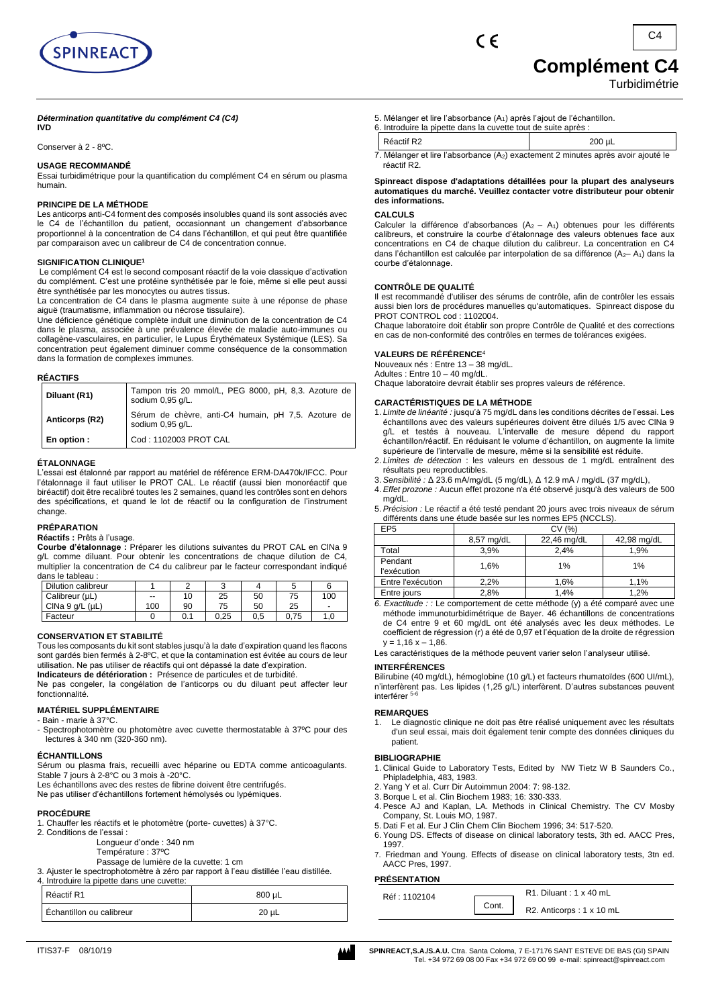

#### *Détermination quantitative du complément C4 (C4)*  **IVD**

Conserver à 2 - 8ºC.

# **USAGE RECOMMANDÉ**

Essai turbidimétrique pour la quantification du complément C4 en sérum ou plasma humain.

#### **PRINCIPE DE LA MÉTHODE**

Les anticorps anti-C4 forment des composés insolubles quand ils sont associés avec le C4 de l'échantillon du patient, occasionnant un changement d'absorbance proportionnel à la concentration de C4 dans l'échantillon, et qui peut être quantifiée par comparaison avec un calibreur de C4 de concentration connue.

#### **SIGNIFICATION CLINIQUE<sup>1</sup>**

Le complément C4 est le second composant réactif de la voie classique d'activation du complément. C'est une protéine synthétisée par le foie, même si elle peut aussi être synthétisée par les monocytes ou autres tissus.

La concentration de C4 dans le plasma augmente suite à une réponse de phase aiguë (traumatisme, inflammation ou nécrose tissulaire).

Une déficience génétique complète induit une diminution de la concentration de C4 dans le plasma, associée à une prévalence élevée de maladie auto-immunes ou collagène-vasculaires, en particulier, le Lupus Érythémateux Systémique (LES). Sa concentration peut également diminuer comme conséquence de la consommation dans la formation de complexes immunes.

#### **RÉACTIFS**

| Diluant (R1)   | Tampon tris 20 mmol/L, PEG 8000, pH, 8,3. Azoture de<br>sodium 0,95 g/L. |
|----------------|--------------------------------------------------------------------------|
| Anticorps (R2) | Sérum de chèvre, anti-C4 humain, pH 7,5. Azoture de<br>sodium 0,95 g/L.  |
| En option :    | Cod: 1102003 PROT CAL                                                    |

## **ÉTALONNAGE**

L'essai est étalonné par rapport au matériel de référence ERM-DA470k/IFCC. Pour l'étalonnage il faut utiliser le PROT CAL. Le réactif (aussi bien monoréactif que biréactif) doit être recalibré toutes les 2 semaines, quand les contrôles sont en dehors des spécifications, et quand le lot de réactif ou la configuration de l'instrument change.

#### **PRÉPARATION**

**Réactifs :** Prêts à l'usage.

**Courbe d'étalonnage :** Préparer les dilutions suivantes du PROT CAL en ClNa 9 g/L comme diluant. Pour obtenir les concentrations de chaque dilution de C4, multiplier la concentration de C4 du calibreur par le facteur correspondant indiqué dans le tableau :

| Dilution calibreur      |     |     | $\sqrt{2}$<br>w |     |      |                          |
|-------------------------|-----|-----|-----------------|-----|------|--------------------------|
| Calibreur (µL)          | --  | 10  | 25              | 50  | 75   | 100                      |
| CINa $9$ q/L ( $\mu$ L) | 100 | 90  | 75              | 50  | 25   | $\overline{\phantom{0}}$ |
| Facteur                 |     | 0.1 | 0.25            | 0.5 | 0.75 | 1.0                      |

#### **CONSERVATION ET STABILITÉ**

Tous les composants du kit sont stables jusqu'à la date d'expiration quand les flacons sont gardés bien fermés à 2-8ºC, et que la contamination est évitée au cours de leur utilisation. Ne pas utiliser de réactifs qui ont dépassé la date d'expiration.

**Indicateurs de détérioration :** Présence de particules et de turbidité.

Ne pas congeler, la congélation de l'anticorps ou du diluant peut affecter leur fonctionnalité.

## **MATÉRIEL SUPPLÉMENTAIRE**

- Bain marie à 37°C.
- Spectrophotomètre ou photomètre avec cuvette thermostatable à 37ºC pour des lectures à 340 nm (320-360 nm).

#### **ÉCHANTILLONS**

Sérum ou plasma frais, recueilli avec héparine ou EDTA comme anticoagulants. Stable 7 jours à 2-8°C ou 3 mois à -20°C.

Les échantillons avec des restes de fibrine doivent être centrifugés.

Ne pas utiliser d'échantillons fortement hémolysés ou lypémiques.

#### **PROCÉDURE**

- 1. Chauffer les réactifs et le photomètre (porte- cuvettes) à 37°C.
- 2. Conditions de l'essai :
	- Longueur d'onde : 340 nm
	- Température : 37ºC

Passage de lumière de la cuvette: 1 cm 3. Ajuster le spectrophotomètre à zéro par rapport à l'eau distillée l'eau distillée.

4. Introduire la pipette dans une cuvette:

| Réactif R1               | 800 µL     |
|--------------------------|------------|
| Échantillon ou calibreur | $20 \mu L$ |

5. Mélanger et lire l'absorbance (A1) après l'ajout de l'échantillon.

 $\epsilon$ 

| 6. Introduire la pipette dans la cuvette tout de suite après :                                         |             |  |  |  |
|--------------------------------------------------------------------------------------------------------|-------------|--|--|--|
| Réactif R2                                                                                             | $200 \mu L$ |  |  |  |
| $\overline{7}$ M41 and an at the Unknowledge (A) are structured Outlinet and a second of the state for |             |  |  |  |

7. Mélanger et lire l'absorbance (A2) exactement 2 minutes après avoir ajouté le réactif R2.

#### **Spinreact dispose d'adaptations détaillées pour la plupart des analyseurs automatiques du marché. Veuillez contacter votre distributeur pour obtenir des informations.**

### **CALCULS**

Calculer la différence d'absorbances  $(A_2 - A_1)$  obtenues pour les différents calibreurs, et construire la courbe d'étalonnage des valeurs obtenues face aux concentrations en C4 de chaque dilution du calibreur. La concentration en C4 dans l'échantillon est calculée par interpolation de sa différence  $(A<sub>2</sub> - A<sub>1</sub>)$  dans la courbe d'étalonnage.

### **CONTRÔLE DE QUALITÉ**

Il est recommandé d'utiliser des sérums de contrôle, afin de contrôler les essais aussi bien lors de procédures manuelles qu'automatiques. Spinreact dispose du PROT CONTROL cod : 1102004.

Chaque laboratoire doit établir son propre Contrôle de Qualité et des corrections en cas de non-conformité des contrôles en termes de tolérances exigées.

#### **VALEURS DE RÉFÉRENCE**<sup>4</sup>

Nouveaux nés : Entre 13 – 38 mg/dL.

Adultes : Entre 10 – 40 mg/dL. Chaque laboratoire devrait établir ses propres valeurs de référence.

#### **CARACTÉRISTIQUES DE LA MÉTHODE**

- 1. *Limite de linéarité :* jusqu'à 75 mg/dL dans les conditions décrites de l'essai. Les échantillons avec des valeurs supérieures doivent être dilués 1/5 avec ClNa 9 g/L et testés à nouveau. L'intervalle de mesure dépend du rapport échantillon/réactif. En réduisant le volume d'échantillon, on augmente la limite supérieure de l'intervalle de mesure, même si la sensibilité est réduite
- 2. *Limites de détection* : les valeurs en dessous de 1 mg/dL entraînent des résultats peu reproductibles.
- 3. *Sensibilité :* Δ 23.6 mA/mg/dL (5 mg/dL), Δ 12.9 mA / mg/dL (37 mg/dL),
- 4. *Effet prozone :* Aucun effet prozone n'a été observé jusqu'à des valeurs de 500 mg/dL.
- 5. *Précision :* Le réactif a été testé pendant 20 jours avec trois niveaux de sérum différents dans une étude basée sur les normes EP5 (NCCLS).

| EP <sub>5</sub>           | CV(%)      |             |             |  |
|---------------------------|------------|-------------|-------------|--|
|                           | 8,57 mg/dL | 22,46 mg/dL | 42,98 mg/dL |  |
| Total                     | 3.9%       | 2.4%        | 1.9%        |  |
| Pendant<br>l'exécution    | 1.6%       | 1%          | 1%          |  |
| Entre l'exécution<br>2.2% |            | 1.6%        | 1.1%        |  |
| Entre jours               | 2.8%       | 1.4%        | 1.2%        |  |

*6. Exactitude : :* Le comportement de cette méthode (y) a été comparé avec une méthode immunoturbidimétrique de Bayer. 46 échantillons de concentrations de C4 entre 9 et 60 mg/dL ont été analysés avec les deux méthodes. Le coefficient de régression (r) a été de 0,97 et l'équation de la droite de régression  $v = 1.16 x - 1.86$ .

Les caractéristiques de la méthode peuvent varier selon l'analyseur utilisé.

# **INTERFÉRENCES**

Bilirubine (40 mg/dL), hémoglobine (10 g/L) et facteurs rhumatoïdes (600 UI/mL), n'interfèrent pas. Les lipides (1,25 g/L) interfèrent. D'autres substances peuvent<br>interférer <sup>5-6</sup>

#### **REMARQUES**

1. Le diagnostic clinique ne doit pas être réalisé uniquement avec les résultats d'un seul essai, mais doit également tenir compte des données cliniques du patient.

# **BIBLIOGRAPHIE**

- 1. Clinical Guide to Laboratory Tests, Edited by NW Tietz W B Saunders Co., Phipladelphia, 483, 1983.
- 2. Yang Y et al. Curr Dir Autoimmun 2004: 7: 98-132.
- 3. Borque L et al. Clin Biochem 1983; 16: 330-333.
- 4. Pesce AJ and Kaplan, LA. Methods in Clinical Chemistry. The CV Mosby Company, St. Louis MO, 1987.
- 5. Dati F et al. Eur J Clin Chem Clin Biochem 1996; 34: 517-520.
- 6. Young DS. Effects of disease on clinical laboratory tests, 3th ed. AACC Pres, 1997.
- 7. Friedman and Young. Effects of disease on clinical laboratory tests, 3tn ed. AACC Pres, 1997.

#### **PRÉSENTATION**

| .            |       |                                  |
|--------------|-------|----------------------------------|
| Réf: 1102104 |       | $R1.$ Diluant : $1 \times 40$ mL |
|              | Cont. | R2. Anticorps: 1 x 10 mL         |

ITIS37-F 08/10/19 **SPINREACT,S.A./S.A.U.** Ctra. Santa Coloma, 7 E-17176 SANT ESTEVE DE BAS (GI) SPAIN Tel. +34 972 69 08 00 Fax +34 972 69 00 99 e-mail: spinreact@spinreact.com

Turbidimétrie

**Complément C4**